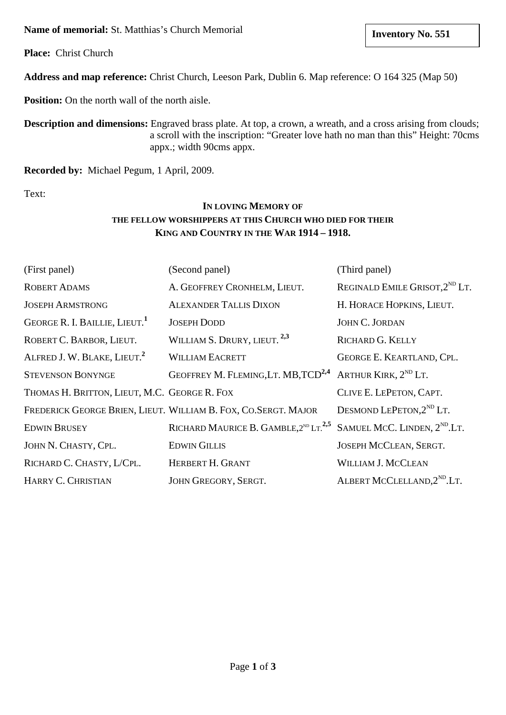**Name of memorial:** St. Matthias's Church Memorial

**Place:** Christ Church

**Address and map reference:** Christ Church, Leeson Park, Dublin 6. Map reference: O 164 325 (Map 50)

**Position:** On the north wall of the north aisle.

**Description and dimensions:** Engraved brass plate. At top, a crown, a wreath, and a cross arising from clouds; a scroll with the inscription: "Greater love hath no man than this" Height: 70cms appx.; width 90cms appx.

**Recorded by:** Michael Pegum, 1 April, 2009.

Text:

# **IN LOVING MEMORY OF THE FELLOW WORSHIPPERS AT THIS CHURCH WHO DIED FOR THEIR KING AND COUNTRY IN THE WAR 1914 – 1918.**

| (First panel)                                | (Second panel)                                                                          | (Third panel)                              |
|----------------------------------------------|-----------------------------------------------------------------------------------------|--------------------------------------------|
| <b>ROBERT ADAMS</b>                          | A. GEOFFREY CRONHELM, LIEUT.                                                            | REGINALD EMILE GRISOT, 2 <sup>ND</sup> LT. |
| <b>JOSEPH ARMSTRONG</b>                      | <b>ALEXANDER TALLIS DIXON</b>                                                           | H. HORACE HOPKINS, LIEUT.                  |
| GEORGE R. I. BAILLIE, LIEUT.                 | <b>JOSEPH DODD</b>                                                                      | <b>JOHN C. JORDAN</b>                      |
| ROBERT C. BARBOR, LIEUT.                     | WILLIAM S. DRURY, LIEUT. <sup>2,3</sup>                                                 | <b>RICHARD G. KELLY</b>                    |
| ALFRED J. W. BLAKE, LIEUT. <sup>2</sup>      | <b>WILLIAM EACRETT</b>                                                                  | GEORGE E. KEARTLAND, CPL.                  |
| <b>STEVENSON BONYNGE</b>                     | GEOFFREY M. FLEMING, LT. MB, TCD <sup>2,4</sup>                                         | ARTHUR KIRK, $2^{ND}$ LT.                  |
| THOMAS H. BRITTON, LIEUT, M.C. GEORGE R. FOX |                                                                                         | CLIVE E. LEPETON, CAPT.                    |
|                                              | FREDERICK GEORGE BRIEN, LIEUT. WILLIAM B. FOX, CO.SERGT. MAJOR                          | DESMOND LEPETON, $2^{ND}$ LT.              |
| <b>EDWIN BRUSEY</b>                          | RICHARD MAURICE B. GAMBLE, $2^{ND}$ LT. <sup>2,5</sup> SAMUEL MCC. LINDEN, $2^{ND}$ LT. |                                            |
| JOHN N. CHASTY, CPL.                         | <b>EDWIN GILLIS</b>                                                                     | JOSEPH MCCLEAN, SERGT.                     |
| RICHARD C. CHASTY, L/CPL.                    | HERBERT H. GRANT                                                                        | <b>WILLIAM J. MCCLEAN</b>                  |
| HARRY C. CHRISTIAN                           | JOHN GREGORY, SERGT.                                                                    | ALBERT MCCLELLAND, 2 <sup>ND</sup> .LT.    |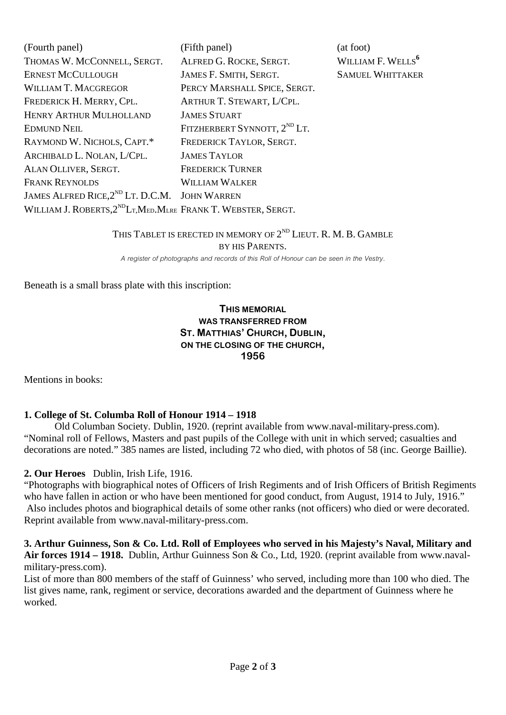| (Fourth panel)                                                                          | (Fifth panel)                            | (at foot)                     |
|-----------------------------------------------------------------------------------------|------------------------------------------|-------------------------------|
| THOMAS W. MCCONNELL, SERGT.                                                             | ALFRED G. ROCKE, SERGT.                  | WILLIAM F. WELLS <sup>6</sup> |
| <b>ERNEST MCCULLOUGH</b>                                                                | JAMES F. SMITH, SERGT.                   | <b>SAMUEL WHITTAKER</b>       |
| <b>WILLIAM T. MACGREGOR</b>                                                             | PERCY MARSHALL SPICE, SERGT.             |                               |
| FREDERICK H. MERRY, CPL.                                                                | ARTHUR T. STEWART, L/CPL.                |                               |
| <b>HENRY ARTHUR MULHOLLAND</b>                                                          | <b>JAMES STUART</b>                      |                               |
| <b>EDMUND NEIL</b>                                                                      | FITZHERBERT SYNNOTT, 2 <sup>ND</sup> LT. |                               |
| RAYMOND W. NICHOLS, CAPT.*                                                              | FREDERICK TAYLOR, SERGT.                 |                               |
| ARCHIBALD L. NOLAN, L/CPL.                                                              | <b>JAMES TAYLOR</b>                      |                               |
| ALAN OLLIVER, SERGT.                                                                    | <b>FREDERICK TURNER</b>                  |                               |
| <b>FRANK REYNOLDS</b>                                                                   | <b>WILLIAM WALKER</b>                    |                               |
| JAMES ALFRED RICE, 2 <sup>ND</sup> LT. D.C.M. JOHN WARREN                               |                                          |                               |
| WILLIAM J. ROBERTS, 2 <sup>ND</sup> L <sub>T</sub> , MED, MLRE FRANK T. WEBSTER, SERGT. |                                          |                               |

## THIS TABLET IS ERECTED IN MEMORY OF  $2^{ND}$  LIEUT. R. M. B. GAMBLE BY HIS PARENTS.

*A register of photographs and records of this Roll of Honour can be seen in the Vestry.*

Beneath is a small brass plate with this inscription:

### **THIS MEMORIAL WAS TRANSFERRED FROM ST. MATTHIAS' CHURCH, DUBLIN, ON THE CLOSING OF THE CHURCH, 1956**

Mentions in books:

### **1. College of St. Columba Roll of Honour 1914 – 1918**

Old Columban Society. Dublin, 1920. (reprint available from www.naval-military-press.com). "Nominal roll of Fellows, Masters and past pupils of the College with unit in which served; casualties and decorations are noted." 385 names are listed, including 72 who died, with photos of 58 (inc. George Baillie).

#### **2. Our Heroes** Dublin, Irish Life, 1916.

"Photographs with biographical notes of Officers of Irish Regiments and of Irish Officers of British Regiments who have fallen in action or who have been mentioned for good conduct, from August, 1914 to July, 1916." Also includes photos and biographical details of some other ranks (not officers) who died or were decorated. Reprint available from [www.naval-military-press.com.](http://www.naval-military-press.com/)

**3. Arthur Guinness, Son & Co. Ltd. Roll of Employees who served in his Majesty's Naval, Military and Air forces 1914 – 1918.** Dublin, Arthur Guinness Son & Co., Ltd, 1920. (reprint available from www.navalmilitary-press.com).

List of more than 800 members of the staff of Guinness' who served, including more than 100 who died. The list gives name, rank, regiment or service, decorations awarded and the department of Guinness where he worked.